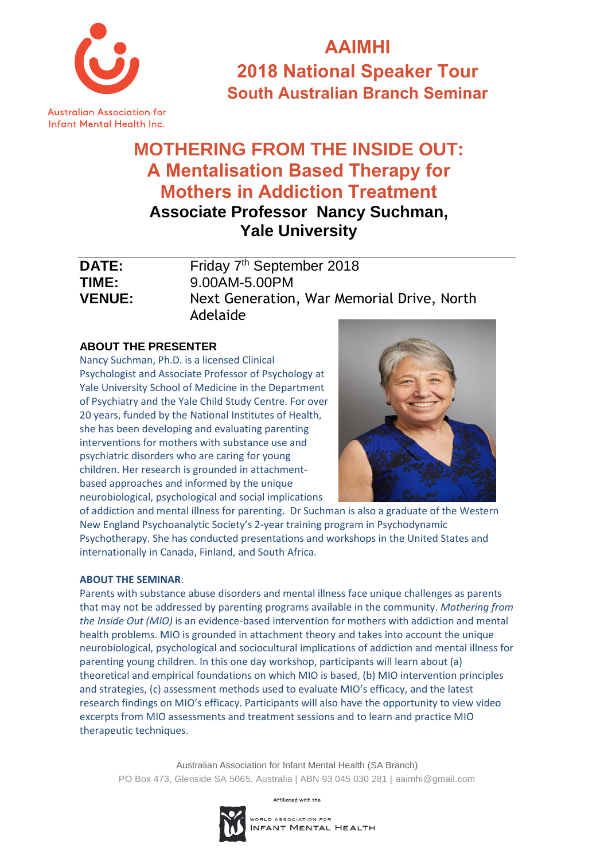

**AAIMHI 2018 National Speaker Tour South Australian Branch Seminar**

## **MOTHERING FROM THE INSIDE OUT: A Mentalisation Based Therapy for Mothers in Addiction Treatment Associate Professor Nancy Suchman,**

**Yale University** 

| <b>DATE:</b>  | Friday 7 <sup>th</sup> September 2018                  |
|---------------|--------------------------------------------------------|
| TIME:         | 9.00AM-5.00PM                                          |
| <b>VENUE:</b> | Next Generation, War Memorial Drive, North<br>Adelaide |

## **ABOUT THE PRESENTER**

Nancy Suchman, Ph.D. is a licensed Clinical Psychologist and Associate Professor of Psychology at Yale University School of Medicine in the Department of Psychiatry and the Yale Child Study Centre. For over 20 years, funded by the National Institutes of Health, she has been developing and evaluating parenting interventions for mothers with substance use and psychiatric disorders who are caring for young children. Her research is grounded in attachmentbased approaches and informed by the unique neurobiological, psychological and social implications



of addiction and mental illness for parenting. Dr Suchman is also a graduate of the Western New England Psychoanalytic Society's 2-year training program in Psychodynamic Psychotherapy. She has conducted presentations and workshops in the United States and internationally in Canada, Finland, and South Africa.

#### **ABOUT THE SEMINAR**:

Parents with substance abuse disorders and mental illness face unique challenges as parents that may not be addressed by parenting programs available in the community. *Mothering from the Inside Out (MIO)* is an evidence-based intervention for mothers with addiction and mental health problems. MIO is grounded in attachment theory and takes into account the unique neurobiological, psychological and sociocultural implications of addiction and mental illness for parenting young children. In this one day workshop, participants will learn about (a) theoretical and empirical foundations on which MIO is based, (b) MIO intervention principles and strategies, (c) assessment methods used to evaluate MIO's efficacy, and the latest research findings on MIO's efficacy. Participants will also have the opportunity to view video excerpts from MIO assessments and treatment sessions and to learn and practice MIO therapeutic techniques.

Australian Association for Infant Mental Health (SA Branch) PO Box 473, Glenside SA 5065, Australia | ABN 93 045 030 281 | aaimhi@gmail.com

Affiliated with the